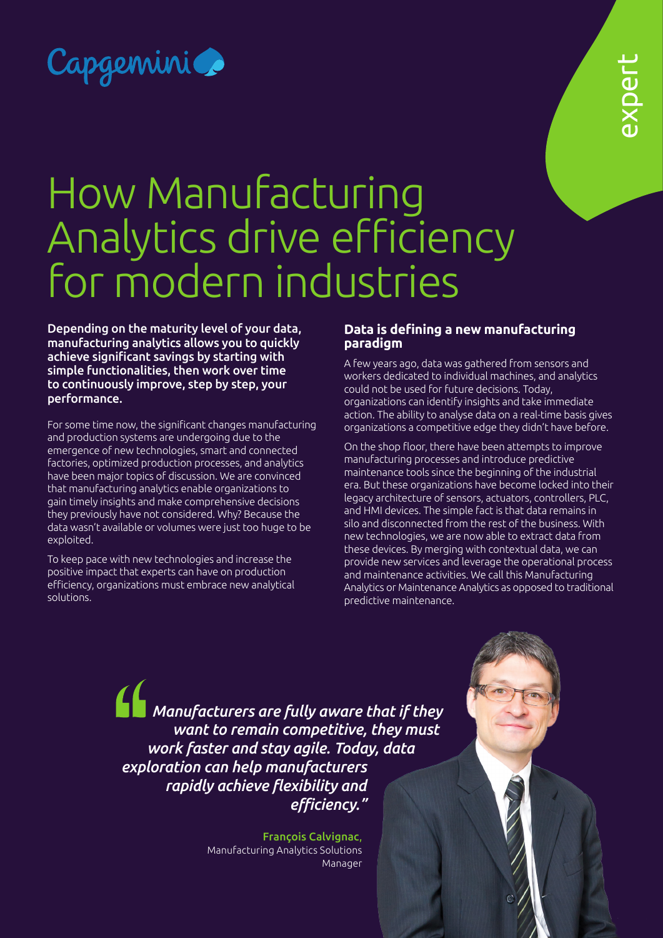

# How Manufacturing Analytics drive efficiency for modern industries

Depending on the maturity level of your data, manufacturing analytics allows you to quickly achieve significant savings by starting with simple functionalities, then work over time to continuously improve, step by step, your performance.

For some time now, the significant changes manufacturing and production systems are undergoing due to the emergence of new technologies, smart and connected factories, optimized production processes, and analytics have been major topics of discussion. We are convinced that manufacturing analytics enable organizations to gain timely insights and make comprehensive decisions they previously have not considered. Why? Because the data wasn't available or volumes were just too huge to be exploited.

To keep pace with new technologies and increase the positive impact that experts can have on production efficiency, organizations must embrace new analytical solutions.

# **Data is defining a new manufacturing paradigm**

A few years ago, data was gathered from sensors and workers dedicated to individual machines, and analytics could not be used for future decisions. Today, organizations can identify insights and take immediate action. The ability to analyse data on a real-time basis gives organizations a competitive edge they didn't have before.

On the shop floor, there have been attempts to improve manufacturing processes and introduce predictive maintenance tools since the beginning of the industrial era. But these organizations have become locked into their legacy architecture of sensors, actuators, controllers, PLC, and HMI devices. The simple fact is that data remains in silo and disconnected from the rest of the business. With new technologies, we are now able to extract data from these devices. By merging with contextual data, we can provide new services and leverage the operational process and maintenance activities. We call this Manufacturing Analytics or Maintenance Analytics as opposed to traditional predictive maintenance.

*Manufacturers are fully aware that if they want to remain competitive, they must work faster and stay agile. Today, data exploration can help manufacturers rapidly achieve flexibility and efficiency."*

> François Calvignac, Manufacturing Analytics Solutions Manager